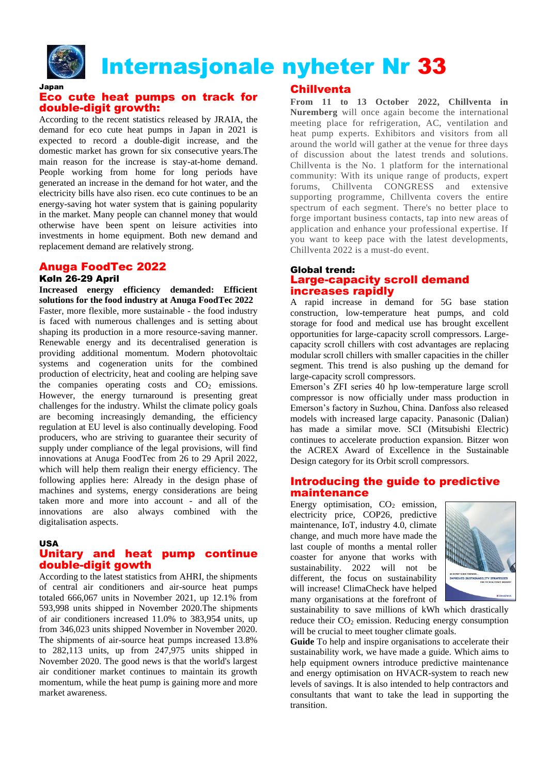

# Internasjonale nyheter Nr 33

#### Japan Eco cute heat pumps on track for double-digit growth:

According to the recent statistics released by JRAIA, the demand for eco cute heat pumps in Japan in 2021 is expected to record a double-digit increase, and the domestic market has grown for six consecutive years.The main reason for the increase is stay-at-home demand. People working from home for long periods have generated an increase in the demand for hot water, and the electricity bills have also risen. eco cute continues to be an energy-saving hot water system that is gaining popularity in the market. Many people can channel money that would otherwise have been spent on leisure activities into investments in home equipment. Both new demand and replacement demand are relatively strong.

# Anuga FoodTec 2022

## Køln 26-29 April

**Increased energy efficiency demanded: Efficient solutions for the food industry at Anuga FoodTec 2022** Faster, more flexible, more sustainable - the food industry is faced with numerous challenges and is setting about shaping its production in a more resource-saving manner. Renewable energy and its decentralised generation is providing additional momentum. Modern photovoltaic systems and cogeneration units for the combined production of electricity, heat and cooling are helping save the companies operating costs and  $CO<sub>2</sub>$  emissions. However, the energy turnaround is presenting great challenges for the industry. Whilst the climate policy goals are becoming increasingly demanding, the efficiency regulation at EU level is also continually developing. Food producers, who are striving to guarantee their security of supply under compliance of the legal provisions, will find innovations at Anuga FoodTec from 26 to 29 April 2022, which will help them realign their energy efficiency. The following applies here: Already in the design phase of machines and systems, energy considerations are being taken more and more into account - and all of the innovations are also always combined with the digitalisation aspects.

#### USA

#### Unitary and heat pump continue double-digit gowth

According to the latest statistics from AHRI, the shipments of central air conditioners and air-source heat pumps totaled 666,067 units in November 2021, up 12.1% from 593,998 units shipped in November 2020.The shipments of air conditioners increased 11.0% to 383,954 units, up from 346,023 units shipped November in November 2020. The shipments of air-source heat pumps increased 13.8% to 282,113 units, up from 247,975 units shipped in November 2020. The good news is that the world's largest air conditioner market continues to maintain its growth momentum, while the heat pump is gaining more and more market awareness.

#### **Chillventa**

**From 11 to 13 October 2022, Chillventa in Nuremberg** will once again become the international meeting place for refrigeration, AC, ventilation and heat pump experts. Exhibitors and visitors from all around the world will gather at the venue for three days of discussion about the latest trends and solutions. Chillventa is the No. 1 platform for the international community: With its unique range of products, expert forums, Chillventa CONGRESS and extensive supporting programme, Chillventa covers the entire spectrum of each segment. There's no better place to forge important business contacts, tap into new areas of application and enhance your professional expertise. If you want to keep pace with the latest developments, Chillventa 2022 is a must-do event.

#### Global trend: Large-capacity scroll demand increases rapidly

A rapid increase in demand for 5G base station construction, low-temperature heat pumps, and cold storage for food and medical use has brought excellent opportunities for large-capacity scroll compressors. Largecapacity scroll chillers with cost advantages are replacing modular scroll chillers with smaller capacities in the chiller segment. This trend is also pushing up the demand for large-capacity scroll compressors.

Emerson's ZFI series 40 hp low-temperature large scroll compressor is now officially under mass production in Emerson's factory in Suzhou, China. Danfoss also released models with increased large capacity. Panasonic (Dalian) has made a similar move. SCI (Mitsubishi Electric) continues to accelerate production expansion. Bitzer won the ACREX Award of Excellence in the Sustainable Design category for its Orbit scroll compressors.

#### Introducing the guide to predictive maintenance

Energy optimisation,  $CO<sub>2</sub>$  emission, electricity price, COP26, predictive maintenance, IoT, industry 4.0, climate change, and much more have made the last couple of months a mental roller coaster for anyone that works with sustainability. 2022 will not be different, the focus on sustainability will increase! ClimaCheck have helped many organisations at the forefront of



sustainability to save millions of kWh which drastically reduce their  $CO<sub>2</sub>$  emission. Reducing energy consumption will be crucial to meet tougher climate goals.

**Guide** To help and inspire organisations to accelerate their sustainability work, we have made a guide. Which aims to help equipment owners introduce predictive maintenance and energy optimisation on HVACR-system to reach new levels of savings. It is also intended to help contractors and consultants that want to take the lead in supporting the transition.